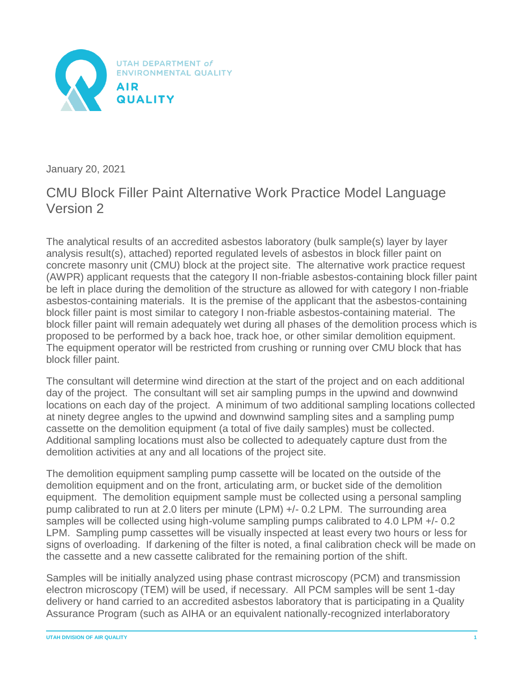

January 20, 2021

## CMU Block Filler Paint Alternative Work Practice Model Language Version 2

The analytical results of an accredited asbestos laboratory (bulk sample(s) layer by layer analysis result(s), attached) reported regulated levels of asbestos in block filler paint on concrete masonry unit (CMU) block at the project site. The alternative work practice request (AWPR) applicant requests that the category II non-friable asbestos-containing block filler paint be left in place during the demolition of the structure as allowed for with category I non-friable asbestos-containing materials. It is the premise of the applicant that the asbestos-containing block filler paint is most similar to category I non-friable asbestos-containing material. The block filler paint will remain adequately wet during all phases of the demolition process which is proposed to be performed by a back hoe, track hoe, or other similar demolition equipment. The equipment operator will be restricted from crushing or running over CMU block that has block filler paint.

The consultant will determine wind direction at the start of the project and on each additional day of the project. The consultant will set air sampling pumps in the upwind and downwind locations on each day of the project. A minimum of two additional sampling locations collected at ninety degree angles to the upwind and downwind sampling sites and a sampling pump cassette on the demolition equipment (a total of five daily samples) must be collected. Additional sampling locations must also be collected to adequately capture dust from the demolition activities at any and all locations of the project site.

The demolition equipment sampling pump cassette will be located on the outside of the demolition equipment and on the front, articulating arm, or bucket side of the demolition equipment. The demolition equipment sample must be collected using a personal sampling pump calibrated to run at 2.0 liters per minute (LPM) +/- 0.2 LPM. The surrounding area samples will be collected using high-volume sampling pumps calibrated to 4.0 LPM +/- 0.2 LPM. Sampling pump cassettes will be visually inspected at least every two hours or less for signs of overloading. If darkening of the filter is noted, a final calibration check will be made on the cassette and a new cassette calibrated for the remaining portion of the shift.

Samples will be initially analyzed using phase contrast microscopy (PCM) and transmission electron microscopy (TEM) will be used, if necessary. All PCM samples will be sent 1-day delivery or hand carried to an accredited asbestos laboratory that is participating in a Quality Assurance Program (such as AIHA or an equivalent nationally-recognized interlaboratory